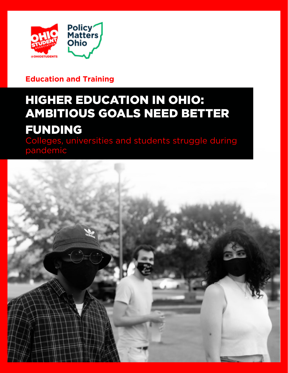

### **Education and Training**

# HIGHER EDUCATION IN OHIO: AMBITIOUS GOALS NEED BETTER FUNDING

Colleges, universities and students struggle during pandemic

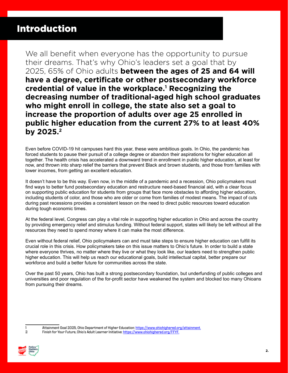### Introduction

We all benefit when everyone has the opportunity to pursue their dreams. That's why Ohio's leaders set a goal that by 2025, 65% of Ohio adults **between the ages of 25 and 64 will have a degree, certificate or other postsecondary workforce credential of value in the workplace.<sup>1</sup> Recognizing the decreasing number of traditional-aged high school graduates who might enroll in college, the state also set a goal to increase the proportion of adults over age 25 enrolled in public higher education from the current 27% to at least 40% by 2025.<sup>2</sup>**

Even before COVID-19 hit campuses hard this year, these were ambitious goals. In Ohio, the pandemic has forced students to pause their pursuit of a college degree or abandon their aspirations for higher education all together. The health crisis has accelerated a downward trend in enrollment in public higher education, at least for now, and thrown into sharp relief the barriers that prevent Black and brown students, and those from families with lower incomes, from getting an excellent education.

It doesn't have to be this way. Even now, in the middle of a pandemic and a recession, Ohio policymakers must find ways to better fund postsecondary education and restructure need-based financial aid, with a clear focus on supporting public education for students from groups that face more obstacles to affording higher education, including students of color, and those who are older or come from families of modest means. The impact of cuts during past recessions provides a consistent lesson on the need to direct public resources toward education during tough economic times.

At the federal level, Congress can play a vital role in supporting higher education in Ohio and across the country by providing emergency relief and stimulus funding. Without federal support, states will likely be left without all the resources they need to spend money where it can make the most difference.

Even without federal relief, Ohio policymakers can and must take steps to ensure higher education can fulfill its crucial role in this crisis. How policymakers take on this issue matters to Ohio's future. In order to build a state where everyone thrives, no matter where they live or what they look like, our leaders need to strengthen public higher education. This will help us reach our educational goals, build intellectual capital, better prepare our workforce and build a better future for communities across the state.

Over the past 50 years, Ohio has built a strong postsecondary foundation, but underfunding of public colleges and universities and poor regulation of the for-profit sector have weakened the system and blocked too many Ohioans from pursuing their dreams.

Finish for Your Future, Ohio's Adult Learner Initiative: [https://www.ohiohighered.org/FFYF.](https://www.ohiohighered.org/FFYF.http://)



Attainment Goal 2025, Ohio Department of Higher Education:<https://www.ohiohighered.org/attainment.>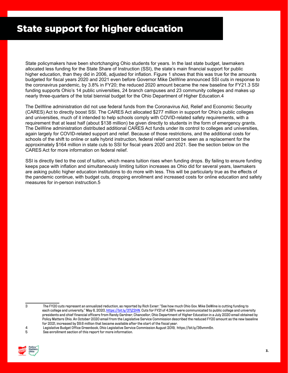### State support for higher education

State policymakers have been shortchanging Ohio students for years. In the last state budget, lawmakers allocated less funding for the State Share of Instruction (SSI), the state's main financial support for public higher education, than they did in 2006, adjusted for inflation. Figure 1 shows that this was true for the amounts budgeted for fiscal years 2020 and 2021 even before Governor Mike DeWine announced SSI cuts in response to the coronavirus pandemic, by 3.8% in FY20; the reduced 2020 amount became the new baseline for FY21.3 SSI funding supports Ohio's 14 public universities, 24 branch campuses and 23 community colleges and makes up nearly three-quarters of the total biennial budget for the Ohio Department of Higher Education.4

The DeWine administration did not use federal funds from the Coronavirus Aid, Relief and Economic Security (CARES) Act to directly boost SSI. The CARES Act allocated \$277 million in support for Ohio's public colleges and universities, much of it intended to help schools comply with COVID-related safety requirements, with a requirement that at least half (about \$138 million) be given directly to students in the form of emergency grants. The DeWine administration distributed additional CARES Act funds under its control to colleges and universities, again largely for COVID-related support and relief. Because of those restrictions, and the additional costs for schools of the shift to online or safe hybrid instruction, federal relief cannot be seen as a replacement for the approximately \$164 million in state cuts to SSI for fiscal years 2020 and 2021. See the section below on the CARES Act for more information on federal relief.

SSI is directly tied to the cost of tuition, which means tuition rises when funding drops. By failing to ensure funding keeps pace with inflation and simultaneously limiting tuition increases as Ohio did for several years, lawmakers are asking public higher education institutions to do more with less. This will be particularly true as the effects of the pandemic continue, with budget cuts, dropping enrollment and increased costs for online education and safety measures for in-person instruction.5

<sup>5</sup> See enrollment section of this report for more information.



<sup>3</sup> The FY20 cuts represent an annualized reduction, as reported by Rich Exner: "See how much Ohio Gov. Mike DeWine is cutting funding to each college and university," May 6, 2020, [https://bit.ly/37jZ2HN.](https://bit.ly/37jZ2HN) Cuts for FY21 of 4.38% were communicated to public college and university presidents and chief financial officers from Randy Gardner, Chancellor, Ohio Department of Higher Education in a July 2020 email obtained by Policy Matters Ohio. An October 2020 email from the Legislative Service Commission described the reduced FY20 amount as the new baseline for 2021, increased by \$9.6 million that became available after the start of the fiscal year.

<sup>4</sup> Legislative Budget Office Greenbook, Ohio Legislative Service Commission August 2019, <https://bit.ly/36vmm6n>.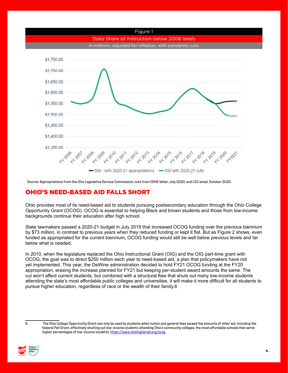

Source: Appropriations from the Ohio Legislative Service Commission; cuts from ODHE letter, July 2020, and LSC email, October 2020.

### OHIO'S NEED-BASED AID FALLS SHORT

Ohio provides most of its need-based aid to students pursuing postsecondary education through the Ohio College Opportunity Grant (OCOG). OCOG is essential to helping Black and brown students and those from low-income backgrounds continue their education after high school.

State lawmakers passed a 2020-21 budget in July 2019 that increased OCOG funding over the previous biennium by \$73 million, in contrast to previous years when they reduced funding or kept it flat. But as Figure 2 shows, even funded as appropriated for the current biennium, OCOG funding would still be well below previous levels and far below what is needed.

In 2010, when the legislature replaced the Ohio Instructional Grant (OIG) and the OIG part-time grant with OCOG, the goal was to direct \$250 million each year to need-based aid, a plan that policymakers have not yet implemented. This year, the DeWine administration decided to hold FY21 OCOG funding at the FY20 appropriation, erasing the increase planned for FY21 but keeping per-student award amounts the same. The cut won't affect current students, but combined with a structural flaw that shuts out many low-income students attending the state's most affordable public colleges and universities, it will make it more difficult for all students to pursue higher education, regardless of race or the wealth of their family.6

<sup>6</sup> The Ohio College Opportunity Grant can only be used by students when tuition and general fees exceed the amounts of other aid, including the federal Pell Grant, effectively shutting out low-income students attending Ohio's community colleges, the most affordable schools that serve higher percentages of low-income students. [https://www.ohiohighered.org/ocog.](https://www.ohiohighered.org/ocog)

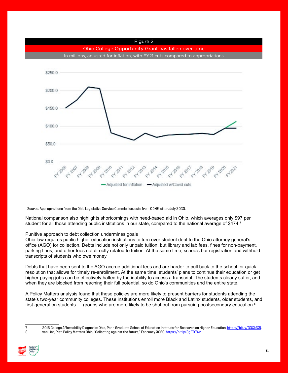

Source: Appropriations from the Ohio Legislative Service Commission; cuts from ODHE letter, July 2020.

National comparison also highlights shortcomings with need-based aid in Ohio, which averages only \$97 per student for all those attending public institutions in our state, compared to the national average of \$474.<sup>7</sup>

#### Punitive approach to debt collection undermines goals

Ohio law requires public higher education institutions to turn over student debt to the Ohio attorney general's office (AGO) for collection. Debts include not only unpaid tuition, but library and lab fees, fines for non-payment, parking fines, and other fees not directly related to tuition. At the same time, schools bar registration and withhold transcripts of students who owe money.

Debts that have been sent to the AGO accrue additional fees and are harder to pull back to the school for quick resolution that allows for timely re-enrollment. At the same time, students' plans to continue their education or get higher-paying jobs can be effectively halted by the inability to access a transcript. The students clearly suffer, and when they are blocked from reaching their full potential, so do Ohio's communities and the entire state.

A Policy Matters analysis found that these policies are more likely to present barriers for students attending the state's two-year community colleges. These institutions enroll more Black and Latinx students, older students, and first-generation students — groups who are more likely to be shut out from pursuing postsecondary education.<sup>8</sup>

<sup>7</sup> 2016 College Affordability Diagnosis: Ohio, Penn Graduate School of Education Institute for Research on Higher Education,<https://bit.ly/33XkfX8>. 8 van Lier, Piet, Policy Matters Ohio, "Collecting against the future," February 2020. https://bit.ly/3gETOWr.

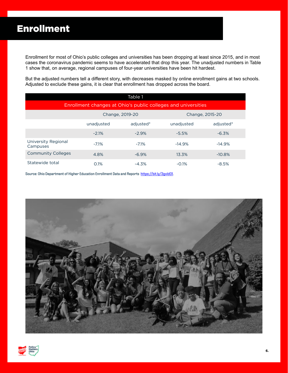Enrollment for most of Ohio's public colleges and universities has been dropping at least since 2015, and in most cases the coronavirus pandemic seems to have accelerated that drop this year. The unadjusted numbers in Table 1 show that, on average, regional campuses of four-year universities have been hit hardest.

But the adjusted numbers tell a different story, with decreases masked by online enrollment gains at two schools. Adjusted to exclude these gains, it is clear that enrollment has dropped across the board.

| Table 1                                                       |            |                 |                 |           |  |  |  |  |
|---------------------------------------------------------------|------------|-----------------|-----------------|-----------|--|--|--|--|
| Enrollment changes at Ohio's public colleges and universities |            |                 |                 |           |  |  |  |  |
|                                                               |            | Change, 2019-20 | Change, 2015-20 |           |  |  |  |  |
|                                                               | unadjusted | adjusted*       | unadjusted      | adjusted* |  |  |  |  |
|                                                               | $-2.1%$    | $-2.9%$         | $-5.5%$         | $-6.3%$   |  |  |  |  |
| University Regional<br>Campuses                               | $-7.1%$    | $-7.1%$         | $-14.9%$        | $-14.9%$  |  |  |  |  |
| <b>Community Colleges</b>                                     | 4.8%       | $-6.9%$         | 13.3%           | $-10.8%$  |  |  |  |  |
| Statewide total                                               | 0.1%       | $-4.3%$         | $-0.1%$         | $-8.5%$   |  |  |  |  |

Source: Ohio Department of Higher Education Enrollment Data and Reports https://bit.ly/3gvld01.



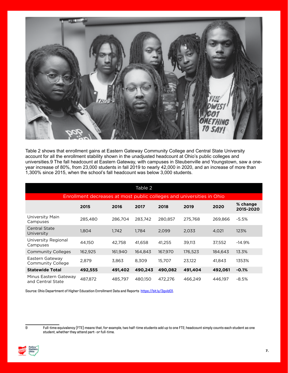

Table 2 shows that enrollment gains at Eastern Gateway Community College and Central State University account for all the enrollment stability shown in the unadjusted headcount at Ohio's public colleges and universities.9 The fall headcount at Eastern Gateway, with campuses in Steubenville and Youngstown, saw a oneyear increase of 80%, from 23,000 students in fall 2019 to nearly 42,000 in 2020, and an increase of more than 1,300% since 2015, when the school's fall headcount was below 3,000 students.

| Table 2                                                               |         |         |         |         |         |         |                       |  |  |  |
|-----------------------------------------------------------------------|---------|---------|---------|---------|---------|---------|-----------------------|--|--|--|
| Enrollment decreases at most public colleges and universities in Ohio |         |         |         |         |         |         |                       |  |  |  |
|                                                                       | 2015    | 2016    | 2017    | 2018    | 2019    | 2020    | % change<br>2015-2020 |  |  |  |
| University Main<br>Campuses                                           | 285,480 | 286,704 | 283,742 | 280,857 | 275,768 | 269,866 | $-5.5%$               |  |  |  |
| <b>Central State</b><br>University                                    | 1,804   | 1,742   | 1,784   | 2,099   | 2,033   | 4,021   | 123%                  |  |  |  |
| University Regional<br>Campuses                                       | 44,150  | 42.758  | 41,658  | 41.255  | 39,113  | 37,552  | $-14.9%$              |  |  |  |
| <b>Community Colleges</b>                                             | 162,925 | 161,940 | 164,843 | 167,970 | 176,523 | 184,643 | 13.3%                 |  |  |  |
| Eastern Gateway<br>Community College                                  | 2.879   | 3.863   | 8.309   | 15,707  | 23,122  | 41.843  | 1353%                 |  |  |  |
| <b>Statewide Total</b>                                                | 492,555 | 491,402 | 490,243 | 490,082 | 491,404 | 492,061 | $-0.1%$               |  |  |  |
| Minus Eastern Gateway<br>and Central State                            | 487,872 | 485,797 | 480,150 | 472,276 | 466,249 | 446,197 | $-8.5%$               |  |  |  |

Source: Ohio Department of Higher Education Enrollment Data and Reports https://bit.ly/3gyIdO1.



<sup>9</sup> Full-time equivalency (FTE) means that, for example, two half-time students add up to one FTE; headcount simply counts each student as one student, whether they attend part- or full-time.

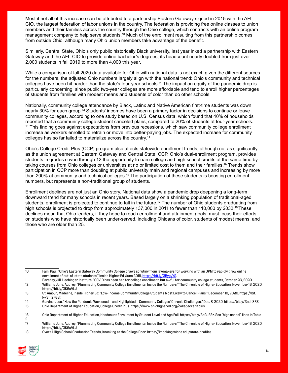Most if not all of this increase can be attributed to a partnership Eastern Gateway signed in 2015 with the AFL-CIO, the largest federation of labor unions in the country. The federation is providing free online classes to union members and their families across the country through the Ohio college, which contracts with an online program management company to help serve students.10 Much of the enrollment resulting from this partnership comes from outside Ohio, although many Ohio union members take advantage of the benefit.

Similarly, Central State, Ohio's only public historically Black university, last year inked a partnership with Eastern Gateway and the AFL-CIO to provide online bachelor's degrees; its headcount nearly doubled from just over 2,000 students in fall 2019 to more than 4,000 this year.

While a comparison of fall 2020 data available for Ohio with national data is not exact, given the different sources for the numbers, the adjusted Ohio numbers largely align with the national trend: Ohio's community and technical colleges have been hit harder than the state's four-year schools.11 The impact on equity of the pandemic drop is particularly concerning, since public two-year colleges are more affordable and tend to enroll higher percentages of students from families with modest means and students of color than do other schools.

Nationally, community college attendance by Black, Latinx and Native American first-time students was down nearly 30% for each group.12 Students' incomes have been a primary factor in decisions to continue or leave community colleges, according to one study based on U.S. Census data, which found that 40% of households reported that a community college student canceled plans, compared to 20% of students at four-year schools. <sup>13</sup> This finding goes against expectations from previous recessions, which saw community college enrollment increase as workers enrolled to retrain or move into better-paying jobs. The expected increase for community colleges has so far failed to materialize across the country.14

Ohio's College Credit Plus (CCP) program also affects statewide enrollment trends, although not as significantly as the union agreement at Eastern Gateway and Central State. CCP, Ohio's dual-enrollment program, provides students in grades seven through 12 the opportunity to earn college and high school credits at the same time by taking courses from Ohio colleges or universities at no or limited cost to them and their families.15 Trends show participation in CCP more than doubling at public university main and regional campuses and increasing by more than 200% at community and technical colleges.<sup>16</sup> The participation of these students is boosting enrollment numbers, but represents a non-traditional group of students.

Enrollment declines are not just an Ohio story. National data show a pandemic drop deepening a long-term downward trend for many schools in recent years. Based largely on a shrinking population of traditional-aged students, enrollment is projected to continue to fall in the future.<sup>17</sup> The number of Ohio students graduating from high schools is projected to drop from approximately 137,000 in 2011 to fewer than 110,000 by 2032.<sup>18</sup> These declines mean that Ohio leaders, if they hope to reach enrollment and attainment goals, must focus their efforts on students who have historically been under-served, including Ohioans of color, students of modest means, and those who are older than 25.

15 Ohio Department of Higher Education, College Credit Plus. https://www.ohiohighered.org/collegecreditplus.

<sup>18</sup> Overall High School Graduation Trends, Knocking at the College Door. https://knocking.wiche.edu/state-profiles.



<sup>10</sup> Fain, Paul, "Ohio's Eastern Gateway Community College draws scrutiny from lawmakers for working with an OPM to rapidly grow online enrollment of out-of-state students." Inside Higher Ed, June 2019, [https://bit.ly/35ygyYS.](https://bit.ly/35ygyYS)

<sup>11</sup> Barshay, Jill, Hechinger Institute, "COVID has been bad for college enrollment, but awful for community college students, October 26, 2020. 12 Williams June, Audrey. "Plummeting Community College Enrollments: Inside the Numbers," The Chronicle of Higher Education. November 16, 2020. https://bit.ly/2K6uVLJ.

<sup>13</sup> St. Amour, Madeline, Inside Higher Ed: "Low-Income Community College Students Most Likely to Cancel Plans," December 10, 2020. https://bit. ly/3m2FGvT.

<sup>14</sup> Gardner, Lee, "How the Pandemic Worsened – and Highlighted – Community Colleges' Chronic Challenges," Dec. 8, 2020. https://bit.ly/3neh8RS.

<sup>16</sup> Ohio Department of Higher Education, Headcount Enrollment by Student Level and Age Fall. https://bit.ly/3oGuFSz. See "high school" lines in Table

<sup>2.&</sup>lt;br>17 17 Williams June, Audrey. "Plummeting Community College Enrollments: Inside the Numbers," The Chronicle of Higher Education. November 16, 2020. https://bit.ly/2K6uVLJ.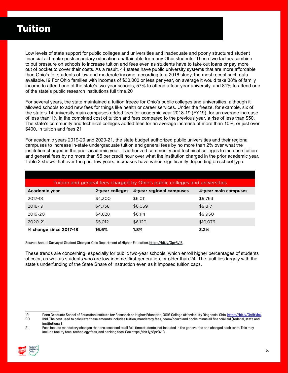### Tuition

Low levels of state support for public colleges and universities and inadequate and poorly structured student financial aid make postsecondary education unattainable for many Ohio students. These two factors combine to put pressure on schools to increase tuition and fees even as students have to take out loans or pay more out of pocket to cover their costs. As a result, 44 states have public university systems that are more affordable than Ohio's for students of low and moderate income, according to a 2016 study, the most recent such data available.19 For Ohio families with incomes of \$30,000 or less per year, on average it would take 38% of family income to attend one of the state's two-year schools, 57% to attend a four-year university, and 81% to attend one of the state's public research institutions full time.20

For several years, the state maintained a tuition freeze for Ohio's public colleges and universities, although it allowed schools to add new fees for things like health or career services. Under the freeze, for example, six of the state's 14 university main campuses added fees for academic year 2018-19 (FY19), for an average increase of less than 1% in the combined cost of tuition and fees compared to the previous year, a rise of less than \$50. The state's community and technical colleges added fees for an average increase of more than 10%, or just over \$400, in tuition and fees.21

For academic years 2019-20 and 2020-21, the state budget authorized public universities and their regional campuses to increase in-state undergraduate tuition and general fees by no more than 2% over what the institution charged in the prior academic year. It authorized community and technical colleges to increase tuition and general fees by no more than \$5 per credit hour over what the institution charged in the prior academic year. Table 3 shows that over the past few years, increases have varied significantly depending on school type.

| Tuition and general fees charged by Ohio's public colleges and universities |                 |                          |                      |  |  |  |  |
|-----------------------------------------------------------------------------|-----------------|--------------------------|----------------------|--|--|--|--|
| Academic year                                                               | 2-year colleges | 4-year regional campuses | 4-year main campuses |  |  |  |  |
| 2017-18                                                                     | \$4.300         | \$6.011                  | \$9.763              |  |  |  |  |
| 2018-19                                                                     | \$4.738         | \$6,039                  | \$9,817              |  |  |  |  |
| 2019-20                                                                     | \$4.828         | \$6.114                  | \$9,950              |  |  |  |  |
| 2020-21                                                                     | \$5,012         | \$6.120                  | \$10,076             |  |  |  |  |
| % change since 2017-18                                                      | 16.6%           | 1.8%                     | 3.2%                 |  |  |  |  |

Source: Annual Survey of Student Charges, Ohio Department of Higher Education, <https://bit.ly/3prRv1B>.

These trends are concerning, especially for public two-year schools, which enroll higher percentages of students of color, as well as students who are low-income, first-generation, or older than 24. The fault lies largely with the state's underfunding of the State Share of Instruction even as it imposed tuition caps.

<sup>21</sup> Fees include mandatory charges that are assessed to all full-time students, not included in the general fee and charged each term. This may include facility fees, technology fees, and parking fees. See <https://bit.ly/3prRv1B>.



<sup>19</sup> Penn Graduate School of Education Institute for Research on Higher Education, 2016 College Affordability Diagnosis: Ohio [https://bit.ly/3qHtMex.](https://bit.ly/3qHtMex)<br>20 Ibid. The cost used to calculate these amounts includes tuition, mandat Ibid. The cost used to calculate these amounts includes tuition, mandatory fees, room/board and books minus all financial aid (federal, state and institutional).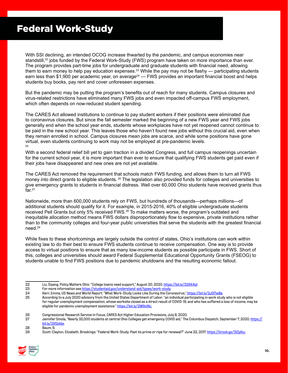### Federal Work-Study

With SSI declining, an intended OCOG increase thwarted by the pandemic, and campus economies near standstill,<sup>22</sup> jobs funded by the Federal Work-Study (FWS) program have taken on more importance than ever. The program provides part-time jobs for undergraduate and graduate students with financial need, allowing them to earn money to help pay education expenses.<sup>23</sup> While the pay may not be flashy — participating students earn less than \$1,900 per academic year, on average<sup>24</sup> — FWS provides an important financial boost and helps students buy books, pay rent and cover unforeseen expenses.

But the pandemic may be putting the program's benefits out of reach for many students. Campus closures and virus-related restrictions have eliminated many FWS jobs and even impacted off-campus FWS employment, which often depends on now-reduced student spending.

The CARES Act allowed institutions to continue to pay student workers if their positions were eliminated due to coronavirus closures. But since the fall semester marked the beginning of a new FWS year and FWS jobs generally end when the school year ends, students whose workplaces have not yet reopened cannot continue to be paid in the new school year. This leaves those who haven't found new jobs without this crucial aid, even when they remain enrolled in school. Campus closures mean jobs are scarce, and while some positions have gone virtual, even students continuing to work may not be employed at pre-pandemic levels. 25

With a second federal relief bill yet to gain traction in a divided Congress, and full campus reopenings uncertain for the current school year, it is more important than ever to ensure that qualifying FWS students get paid even if their jobs have disappeared and new ones are not yet available.

The CARES Act removed the requirement that schools match FWS funding, and allows them to turn all FWS money into direct grants to eligible students. 26 The legislation also provided funds for colleges and universities to give emergency grants to students in financial distress. Well over 60,000 Ohio students have received grants thus far. $27$ 

Nationwide, more than 600,000 students rely on FWS, but hundreds of thousands—perhaps millions—of additional students should qualify for it. For example, in 2015-2016, 40% of eligible undergraduate students received Pell Grants but only 5% received FWS.<sup>28</sup> To make matters worse, the program's outdated and inequitable allocation method means FWS dollars disproportionately flow to expensive, private institutions rather than to the community colleges and four-year public universities that serve the students with the greatest financial need.29

While fixes to these shortcomings are largely outside the control of states, Ohio's institutions can work within existing law to do their best to ensure FWS students continue to receive compensation. One way is to provide access to virtual positions to ensure that as many low-income students as possible participate in FWS. Short of this, colleges and universities should award Federal Supplemental Educational Opportunity Grants (FSEOG) to students unable to find FWS positions due to pandemic shutdowns and the resulting economic fallout.

- 22 Liu, Siyang, Policy Matters Ohio: "College towns need support," August 20, 2020.<https://bit.ly/33XK4q1>.<br>23 For more information see https://studentaid.gov/understand-aid/types/work-study.
- For more information see [https://studentaid.gov/understand-aid/types/work-study.](https://studentaid.gov/understand-aid/types/work-study)

28 Baum, 6.

<sup>29</sup> Scott-Clayton, Elizabeth, Brookings: "Federal Work-Study: Past its prime or ripe for renewal?" June 22, 2017. [https://brook.gs/3lZplbu.](http:/https://brook.gs/3lZplbu.)



<sup>24</sup> Kerr, Emma, US News and World Report: "What Work-Study Looks Like During the Coronavirus,"<https://bit.ly/2JG7wBe>.

<sup>25</sup> According to a July 2020 advisory from the United States Department of Labor, "an individual participating in work study who is not eligible for regular unemployment compensation, whose worksite closed as a direct result of COVID-19, and who has suffered a loss of income, may be eligible for pandemic unemployment assistance."<https://bit.ly/2W9x1Nz.>

<sup>26</sup> Congressional Research Service In Focus, CARES Act Higher Education Provisions, July 8, 2020.

Jennifer Smola, "Nearly 32,000 students at central Ohio Colleges get emergency COVID aid," The Columbus Dispatch, September 7, 2020. [https://](https://bit.ly/2VDzkbx) [bit.ly/2VDzkbx](https://bit.ly/2VDzkbx).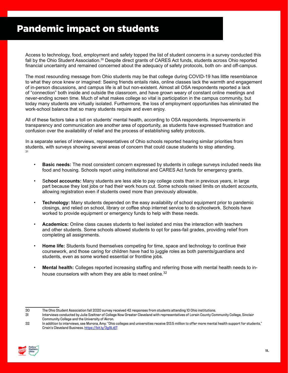## Pandemic impact on students

Access to technology, food, employment and safety topped the list of student concerns in a survey conducted this fall by the Ohio Student Association.<sup>30</sup> Despite direct grants of CARES Act funds, students across Ohio reported financial uncertainty and remained concerned about the adequacy of safety protocols, both on- and off-campus.

The most resounding message from Ohio students may be that college during COVID-19 has little resemblance to what they once knew or imagined: Seeing friends entails risks, online classes lack the warmth and engagement of in-person discussions, and campus life is all but non-existent. Almost all OSA respondents reported a lack of "connection" both inside and outside the classroom, and have grown weary of constant online meetings and never-ending screen time. Much of what makes college so vital is participation in the campus community, but today many students are virtually isolated. Furthermore, the loss of employment opportunities has eliminated the work-school balance that so many students require and even enjoy.

All of these factors take a toll on students' mental health, according to OSA respondents. Improvements in transparency and communication are another area of opportunity, as students have expressed frustration and confusion over the availability of relief and the process of establishing safety protocols.

In a separate series of interviews, representatives of Ohio schools reported hearing similar priorities from students, with surveys showing several areas of concern that could cause students to stop attending. 31

- **Basic needs:** The most consistent concern expressed by students in college surveys included needs like food and housing. Schools report using institutional and CARES Act funds for emergency grants.
- S**chool accounts:** Many students are less able to pay college costs than in previous years, in large part because they lost jobs or had their work hours cut. Some schools raised limits on student accounts, allowing registration even if students owed more than previously allowable.
- **Technology:** Many students depended on the easy availability of school equipment prior to pandemic closings, and relied on school, library or coffee shop internet service to do schoolwork. Schools have worked to provide equipment or emergency funds to help with these needs.
- **Academics:** Online class causes students to feel isolated and miss the interaction with teachers and other students. Some schools allowed students to opt for pass-fail grades, providing relief from completing all assignments.
- **Home life:** Students found themselves competing for time, space and technology to continue their coursework, and those caring for children have had to juggle roles as both parents/guardians and students, even as some worked essential or frontline jobs.
- **Mental health:** Colleges reported increasing staffing and referring those with mental health needs to inhouse counselors with whom they are able to meet online. $32$
- 

<sup>32</sup> In addition to interviews, see Morona, Amy: "Ohio colleges and universities receive \$13.5 million to offer more mental health support for students," Crain's Cleveland Business.<https://bit.ly/3g9Ldj7>.



<sup>30</sup> The Ohio Student Association fall 2020 survey received 42 responses from students attending 10 Ohio institutions.

<sup>31</sup> Interviews conducted by Julie Szeltner of College Now Greater Cleveland with representatives of Lorain County Community College, Sinclair Community College and the University of Akron.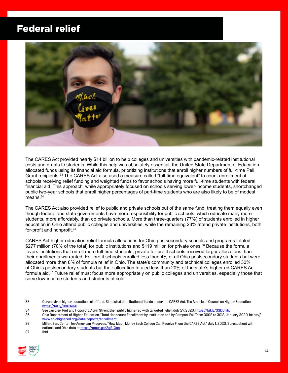### Federal relief



The CARES Act provided nearly \$14 billion to help colleges and universities with pandemic-related institutional costs and grants to students. While this help was absolutely essential, the United State Department of Education allocated funds using its financial aid formula, prioritizing institutions that enroll higher numbers of full-time Pell Grant recipients.33 The CARES Act also used a measure called "full-time equivalent" to count enrollment at schools receiving relief funding and weighted funds to favor schools having more full-time students with federal financial aid. This approach, while appropriately focused on schools serving lower-income students, shortchanged public two-year schools that enroll higher percentages of part-time students who are also likely to be of modest  $means.<sup>34</sup>$ 

The CARES Act also provided relief to public and private schools out of the same fund, treating them equally even though federal and state governments have more responsibility for public schools, which educate many more students, more affordably, than do private schools. More than three-quarters (77%) of students enrolled in higher education in Ohio attend public colleges and universities, while the remaining 23% attend private institutions, both for-profit and nonprofit.<sup>35</sup>

CARES Act higher education relief formula allocations for Ohio postsecondary schools and programs totaled \$277 million (70% of the total) for public institutions and \$119 million for private ones.<sup>36</sup> Because the formula favors institutions that enroll more full-time students, private for-profit schools received larger allocations than their enrollments warranted. For-profit schools enrolled less than 4% of all Ohio postsecondary students but were allocated more than 8% of formula relief in Ohio. The state's community and technical colleges enrolled 30% of Ohio's postsecondary students but their allocation totaled less than 20% of the state's higher ed CARES Act formula aid.37 Future relief must focus more appropriately on public colleges and universities, especially those that serve low-income students and students of color.

- 33 Coronavirus higher education relief fund: Simulated distribution of funds under the CARES Act. The American Council on Higher Education. <https://bit.ly/330Xe56>.
- 34 See van Lier, Piet and Hopcroft, April: Strengthen public higher ed with targeted relief, July 27, 2020.<https://bit.ly/33DDFjh>.

<sup>37</sup> Ibid.



<sup>35</sup> Ohio Department of Higher Education, "Total Headcount Enrollment by Institution and by Campus: Fall Term 2008 to 2018, January 2020, https:// <www.ohiohighered.org/data-reports/enrollment>.

<sup>36</sup> Miller, Ben, Center for American Progress: "How Much Money Each College Can Receive From the CARES Act," July 1, 2020. Spreadsheet with national and Ohio data at [https://ampr.gs/3g9LXon.](https://ampr.gs/3g9LXon)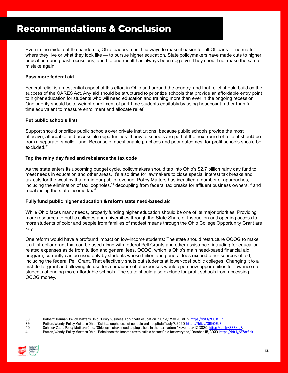### Recommendations & Conclusion

Even in the middle of the pandemic, Ohio leaders must find ways to make it easier for all Ohioans — no matter where they live or what they look like — to pursue higher education. State policymakers have made cuts to higher education during past recessions, and the end result has always been negative. They should not make the same mistake again.

#### **Pass more federal aid**

Federal relief is an essential aspect of this effort in Ohio and around the country, and that relief should build on the success of the CARES Act. Any aid should be structured to prioritize schools that provide an affordable entry point to higher education for students who will need education and training more than ever in the ongoing recession. One priority should be to weight enrollment of part-time students equitably by using headcount rather than fulltime equivalent to measure enrollment and allocate relief.

#### **Put public schools first**

Support should prioritize public schools over private institutions, because public schools provide the most effective, affordable and accessible opportunities. If private schools are part of the next round of relief it should be from a separate, smaller fund. Because of questionable practices and poor outcomes, for-profit schools should be excluded.38

#### **Tap the rainy day fund and rebalance the tax code**

As the state enters its upcoming budget cycle, policymakers should tap into Ohio's \$2.7 billion rainy day fund to meet needs in education and other areas. It's also time for lawmakers to close special interest tax breaks and tax cuts for the wealthy that drain our public revenue. Policy Matters has identified a number of approaches, including the elimination of tax loopholes,<sup>39</sup> decoupling from federal tax breaks for affluent business owners,<sup>40</sup> and rebalancing the state income tax.41

#### **Fully fund public higher education & reform state need-based ai**d

While Ohio faces many needs, properly funding higher education should be one of its major priorities. Providing more resources to public colleges and universities through the State Share of Instruction and opening access to more students of color and people from families of modest means through the Ohio College Opportunity Grant are key.

One reform would have a profound impact on low-income students: The state should restructure OCOG to make it a first-dollar grant that can be used along with federal Pell Grants and other assistance, including for educationrelated expenses aside from tuition and general fees. OCOG, which is Ohio's main need-based financial aid program, currently can be used only by students whose tuition and general fees exceed other sources of aid, including the federal Pell Grant. That effectively shuts out students at lower-cost public colleges. Changing it to a first-dollar grant and allowing its use for a broader set of expenses would open new opportunities for low-income students attending more affordable schools. The state should also exclude for-profit schools from accessing OCOG money.

<sup>41</sup> Patton, Wendy, Policy Matters Ohio: "Rebalance the income tax to build a better Ohio for everyone," October 15, 2020. <https://bit.ly/37AxZbh>.



<sup>38</sup> Halbert, Hannah, Policy Matters Ohio: "Risky business: For-profit education in Ohio," May 25, 2017. <u>https://bit.ly/36Xfu1r.</u><br>39 Patton, Wendy, Policy Matters Ohio: "Cut tax loopholes, not schools and hospitals." July 7

Patton, Wendy, Policy Matters Ohio: "Cut tax loopholes, not schools and hospitals." July 7, 2020.<https://bit.ly/39KC6US>.

<sup>40</sup> Schiller, Zach, Policy Matters Ohio: "Ohio legislators need to plug a hole in the tax system," November 17, 2020, [https://bit.ly/33FN1LF.](https://bit.ly/33FN1LF)